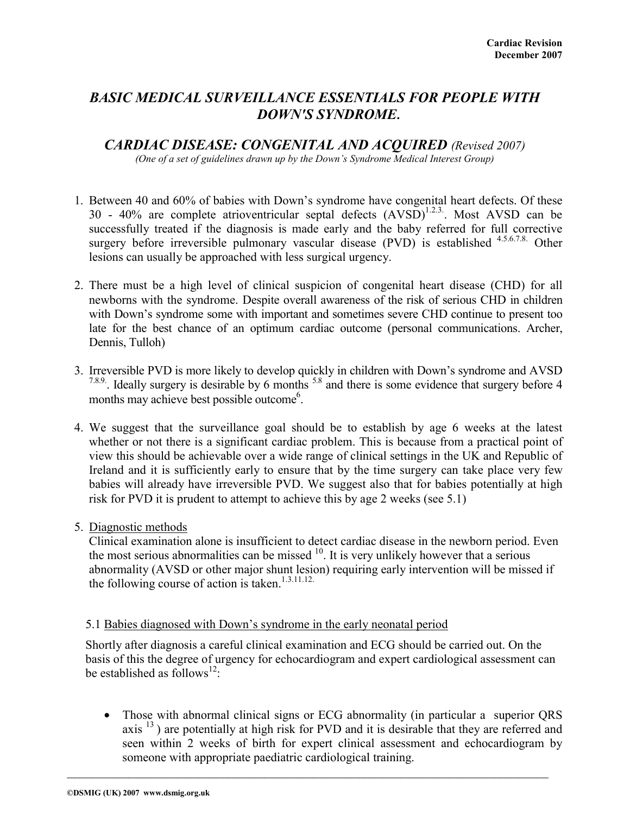# *BASIC MEDICAL SURVEILLANCE ESSENTIALS FOR PEOPLE WITH DOWN'S SYNDROME***.**

*CARDIAC DISEASE: CONGENITAL AND ACQUIRED (Revised 2007)* 

*(One of a set of guidelines drawn up by the Down's Syndrome Medical Interest Group)* 

- 1. Between 40 and 60% of babies with Down's syndrome have congenital heart defects. Of these 30 - 40% are complete atrioventricular septal defects  $(AVSD)^{1.2.3}$ . Most AVSD can be successfully treated if the diagnosis is made early and the baby referred for full corrective surgery before irreversible pulmonary vascular disease (PVD) is established <sup>4.5.6.7.8</sup> Other lesions can usually be approached with less surgical urgency.
- 2. There must be a high level of clinical suspicion of congenital heart disease (CHD) for all newborns with the syndrome. Despite overall awareness of the risk of serious CHD in children with Down's syndrome some with important and sometimes severe CHD continue to present too late for the best chance of an optimum cardiac outcome (personal communications. Archer, Dennis, Tulloh)
- 3. Irreversible PVD is more likely to develop quickly in children with Down's syndrome and AVSD <sup>7.8.9</sup>. Ideally surgery is desirable by 6 months <sup>5.8</sup> and there is some evidence that surgery before 4 months may achieve best possible outcome<sup>6</sup>.
- 4. We suggest that the surveillance goal should be to establish by age 6 weeks at the latest whether or not there is a significant cardiac problem. This is because from a practical point of view this should be achievable over a wide range of clinical settings in the UK and Republic of Ireland and it is sufficiently early to ensure that by the time surgery can take place very few babies will already have irreversible PVD. We suggest also that for babies potentially at high risk for PVD it is prudent to attempt to achieve this by age 2 weeks (see 5.1)
- 5. Diagnostic methods

Clinical examination alone is insufficient to detect cardiac disease in the newborn period. Even the most serious abnormalities can be missed  $10$ . It is very unlikely however that a serious abnormality (AVSD or other major shunt lesion) requiring early intervention will be missed if the following course of action is taken. $1.3.11.12$ .

### 5.1 Babies diagnosed with Down's syndrome in the early neonatal period

Shortly after diagnosis a careful clinical examination and ECG should be carried out. On the basis of this the degree of urgency for echocardiogram and expert cardiological assessment can be established as follows<sup>12</sup>:

• Those with abnormal clinical signs or ECG abnormality (in particular a superior QRS axis<sup>13</sup>) are potentially at high risk for PVD and it is desirable that they are referred and seen within 2 weeks of birth for expert clinical assessment and echocardiogram by someone with appropriate paediatric cardiological training.

**\_\_\_\_\_\_\_\_\_\_\_\_\_\_\_\_\_\_\_\_\_\_\_\_\_\_\_\_\_\_\_\_\_\_\_\_\_\_\_\_\_\_\_\_\_\_\_\_\_\_\_\_\_\_\_\_\_\_\_\_\_\_\_\_\_\_\_\_\_\_\_\_\_\_\_\_\_\_\_\_\_\_\_\_\_\_\_\_\_\_\_\_\_\_\_\_\_\_\_\_\_\_\_\_\_\_\_\_\_\_\_\_\_\_\_\_\_**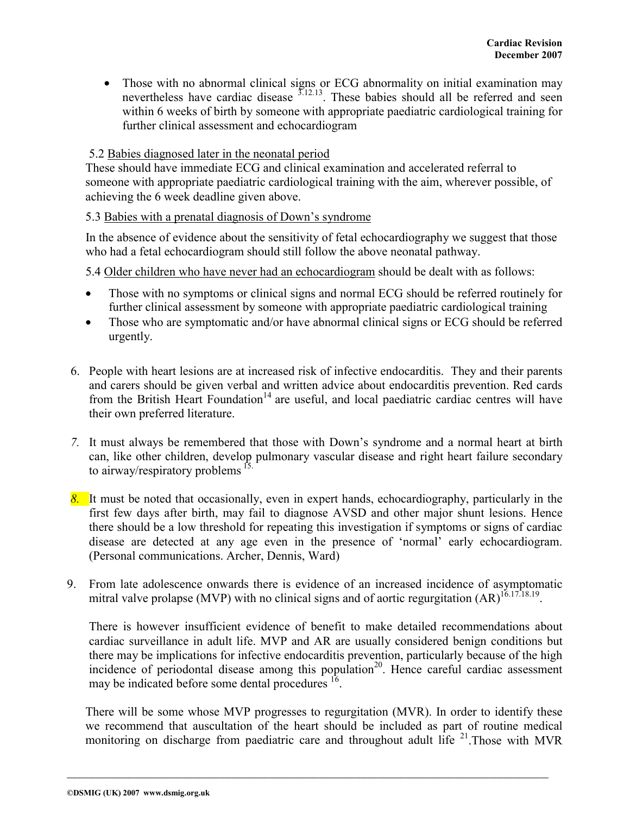• Those with no abnormal clinical signs or ECG abnormality on initial examination may nevertheless have cardiac disease  $3.12.13$ . These babies should all be referred and seen within 6 weeks of birth by someone with appropriate paediatric cardiological training for further clinical assessment and echocardiogram

### 5.2 Babies diagnosed later in the neonatal period

These should have immediate ECG and clinical examination and accelerated referral to someone with appropriate paediatric cardiological training with the aim, wherever possible, of achieving the 6 week deadline given above.

## 5.3 Babies with a prenatal diagnosis of Down's syndrome

In the absence of evidence about the sensitivity of fetal echocardiography we suggest that those who had a fetal echocardiogram should still follow the above neonatal pathway.

5.4 Older children who have never had an echocardiogram should be dealt with as follows:

- Those with no symptoms or clinical signs and normal ECG should be referred routinely for further clinical assessment by someone with appropriate paediatric cardiological training
- Those who are symptomatic and/or have abnormal clinical signs or ECG should be referred urgently.
- 6. People with heart lesions are at increased risk of infective endocarditis. They and their parents and carers should be given verbal and written advice about endocarditis prevention. Red cards from the British Heart Foundation<sup>14</sup> are useful, and local paediatric cardiac centres will have their own preferred literature.
- *7.* It must always be remembered that those with Down's syndrome and a normal heart at birth can, like other children, develop pulmonary vascular disease and right heart failure secondary to airway/respiratory problems <sup>15.</sup>
- *8.* It must be noted that occasionally, even in expert hands, echocardiography, particularly in the first few days after birth, may fail to diagnose AVSD and other major shunt lesions. Hence there should be a low threshold for repeating this investigation if symptoms or signs of cardiac disease are detected at any age even in the presence of 'normal' early echocardiogram. (Personal communications. Archer, Dennis, Ward)
- 9. From late adolescence onwards there is evidence of an increased incidence of asymptomatic mitral valve prolapse (MVP) with no clinical signs and of aortic regurgitation  $(AR)^{16.17.18.19}$ .

There is however insufficient evidence of benefit to make detailed recommendations about cardiac surveillance in adult life. MVP and AR are usually considered benign conditions but there may be implications for infective endocarditis prevention, particularly because of the high incidence of periodontal disease among this population<sup>20</sup>. Hence careful cardiac assessment may be indicated before some dental procedures <sup>16</sup>.

 There will be some whose MVP progresses to regurgitation (MVR). In order to identify these we recommend that auscultation of the heart should be included as part of routine medical monitoring on discharge from paediatric care and throughout adult life <sup>21</sup>. Those with MVR

**\_\_\_\_\_\_\_\_\_\_\_\_\_\_\_\_\_\_\_\_\_\_\_\_\_\_\_\_\_\_\_\_\_\_\_\_\_\_\_\_\_\_\_\_\_\_\_\_\_\_\_\_\_\_\_\_\_\_\_\_\_\_\_\_\_\_\_\_\_\_\_\_\_\_\_\_\_\_\_\_\_\_\_\_\_\_\_\_\_\_\_\_\_\_\_\_\_\_\_\_\_\_\_\_\_\_\_\_\_\_\_\_\_\_\_\_\_**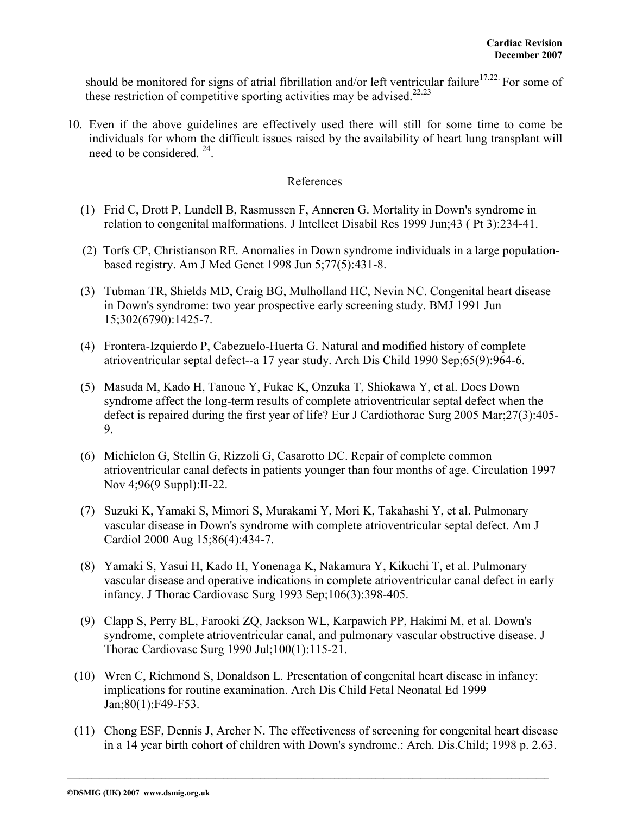should be monitored for signs of atrial fibrillation and/or left ventricular failure<sup>17.22.</sup> For some of these restriction of competitive sporting activities may be advised.<sup>22.23</sup>

10. Even if the above guidelines are effectively used there will still for some time to come be individuals for whom the difficult issues raised by the availability of heart lung transplant will need to be considered. 24.

#### References

- (1) Frid C, Drott P, Lundell B, Rasmussen F, Anneren G. Mortality in Down's syndrome in relation to congenital malformations. J Intellect Disabil Res 1999 Jun;43 ( Pt 3):234-41.
- (2) Torfs CP, Christianson RE. Anomalies in Down syndrome individuals in a large populationbased registry. Am J Med Genet 1998 Jun 5;77(5):431-8.
- (3) Tubman TR, Shields MD, Craig BG, Mulholland HC, Nevin NC. Congenital heart disease in Down's syndrome: two year prospective early screening study. BMJ 1991 Jun 15;302(6790):1425-7.
- (4) Frontera-Izquierdo P, Cabezuelo-Huerta G. Natural and modified history of complete atrioventricular septal defect--a 17 year study. Arch Dis Child 1990 Sep;65(9):964-6.
- (5) Masuda M, Kado H, Tanoue Y, Fukae K, Onzuka T, Shiokawa Y, et al. Does Down syndrome affect the long-term results of complete atrioventricular septal defect when the defect is repaired during the first year of life? Eur J Cardiothorac Surg 2005 Mar;27(3):405- 9.
- (6) Michielon G, Stellin G, Rizzoli G, Casarotto DC. Repair of complete common atrioventricular canal defects in patients younger than four months of age. Circulation 1997 Nov 4;96(9 Suppl):II-22.
- (7) Suzuki K, Yamaki S, Mimori S, Murakami Y, Mori K, Takahashi Y, et al. Pulmonary vascular disease in Down's syndrome with complete atrioventricular septal defect. Am J Cardiol 2000 Aug 15;86(4):434-7.
- (8) Yamaki S, Yasui H, Kado H, Yonenaga K, Nakamura Y, Kikuchi T, et al. Pulmonary vascular disease and operative indications in complete atrioventricular canal defect in early infancy. J Thorac Cardiovasc Surg 1993 Sep;106(3):398-405.
- (9) Clapp S, Perry BL, Farooki ZQ, Jackson WL, Karpawich PP, Hakimi M, et al. Down's syndrome, complete atrioventricular canal, and pulmonary vascular obstructive disease. J Thorac Cardiovasc Surg 1990 Jul;100(1):115-21.
- (10) Wren C, Richmond S, Donaldson L. Presentation of congenital heart disease in infancy: implications for routine examination. Arch Dis Child Fetal Neonatal Ed 1999 Jan;80(1):F49-F53.
- (11) Chong ESF, Dennis J, Archer N. The effectiveness of screening for congenital heart disease in a 14 year birth cohort of children with Down's syndrome.: Arch. Dis.Child; 1998 p. 2.63.

**\_\_\_\_\_\_\_\_\_\_\_\_\_\_\_\_\_\_\_\_\_\_\_\_\_\_\_\_\_\_\_\_\_\_\_\_\_\_\_\_\_\_\_\_\_\_\_\_\_\_\_\_\_\_\_\_\_\_\_\_\_\_\_\_\_\_\_\_\_\_\_\_\_\_\_\_\_\_\_\_\_\_\_\_\_\_\_\_\_\_\_\_\_\_\_\_\_\_\_\_\_\_\_\_\_\_\_\_\_\_\_\_\_\_\_\_\_**